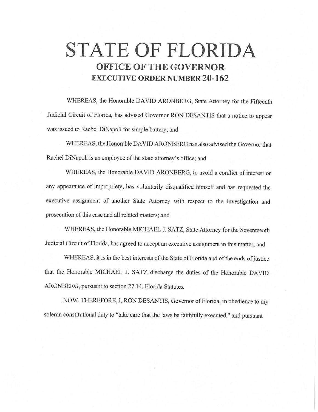# **STATE OF FLORIDA OFFICE OF THE GOVERNOR EXECUTIVE ORDER NUMBER 20-162**

WHEREAS, the Honorable DAVID ARONBERG, State Attorney for the Fifteenth Judicial Circuit of Florida, has advised Governor RON DESANTIS that a notice to appear was issued to Rachel DiNapoli for simple battery; and

WHEREAS, the Honorable DAVID ARONBERG has also advised the Governor that Rachel DiNapoli is an employee of the state attorney's office; and

WHEREAS, the Honorable DAVID ARONBERG, to avoid a conflict of interest or any appearance of impropriety, has voluntarily disqualified himself and has requested the executive assignment of another State Attorney with respect to the investigation and prosecution of this case and all related matters; and

WHEREAS, the Honorable MICHAEL J. SATZ, State Attorney for the Seventeenth Judicial Circuit of Florida, has agreed to accept an executive assignment in this matter; and

WHEREAS, it is in the best interests of the State of Florida and of the ends of justice that the Honorable MICHAEL J. SATZ discharge the duties of the Honorable DAVID ARONBERG, pursuant to section 27.14, Florida Statutes.

NOW, THEREFORE, I, RON DESANTIS, Governor of Florida, in obedience to my solemn constitutional duty to "take care that the laws be faithfully executed," and pursuant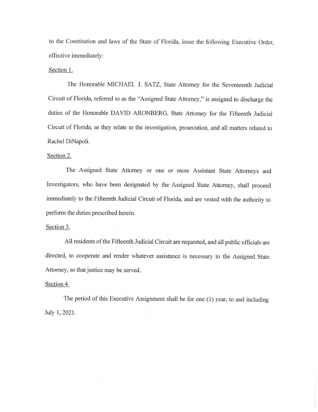to the Constitution and laws of the State of Florida, issue the following Executive Order, effective immediately:

#### Section 1.

The Honorable MICHAEL J. SATZ, State Attorney for the Seventeenth Judicial Circuit of Florida, referred to as the "Assigned State Attorney," is assigned to discharge the duties of the Honorable DAVID ARONBERG, State Attorney for the Fifteenth Judicial Circuit of Florida, as they relate to the investigation, prosecution, and all matters related to Rachel DiNapoli.

## Section 2.

The Assigned State Attorney or one or more Assistant State Attorneys and Investigators, who have been designated by the Assigned State Attorney, shall proceed immediately to the Fifteenth Judicial Circuit of Florida, and are vested with the authority to perform the duties prescribed herein.

#### Section 3.

All residents of the Fifteenth Judicial Circuit are requested, and all public officials are directed, to cooperate and render whatever assistance is necessary to the Assigned State Attorney, so that justice may be served.

## Section 4.

The period of this Executive Assignment shall be for one (1) year, to and including July 1, 2021.